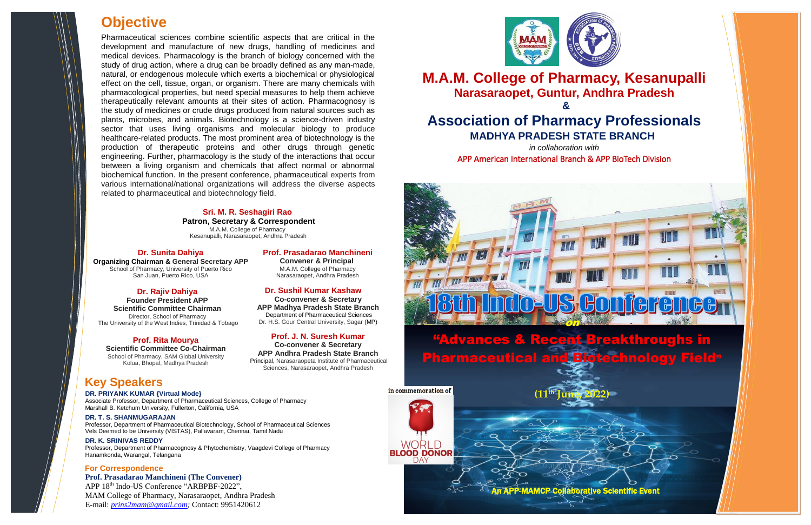**Dr. Sunita Dahiya**

"Advances & Recent Breakthroughs in Pharmaceutica

in commemoration of

WORL **BLOOD DONOR** 

DAY

l



**Organizing Chairman & General Secretary APP** School of Pharmacy, University of Puerto Rico San Juan, Puerto Rico, USA



**(11th June, 2022)**



**M.A.M. College of Pharmacy, Kesanupalli Narasaraopet, Guntur, Andhra Pradesh & Association of Pharmacy Professionals MADHYA PRADESH STATE BRANCH**

APP 18<sup>th</sup> Indo-US Conference "ARBPBF-2022", MAM College of Pharmacy, Narasaraopet, Andhra Pradesh E-mail: *[prins2mam@gmail.com;](mailto:prins2mam@gmail.com)* Contact: 9951420612



*in collaboration with*  APP American International Branch & APP BioTech Division

# **Prof. Prasadarao Manchineni**

 **Convener & Principal** M.A.M. College of Pharmacy Narasaraopet, Andhra Pradesh

# **Prof. Prasadarao Manchineni (The Convener)**

# **For Correspondence**

## **Dr. Sushil Kumar Kashaw**

**Co-convener & Secretary APP Madhya Pradesh State Branch**  Department of Pharmaceutical Sciences Dr. H.S. Gour Central University, Sagar (MP)

**Prof. J. N. Suresh Kumar**

**Co-convener & Secretary APP Andhra Pradesh State Branch** Principal, Narasaraopeta Institute of Pharmaceutical

Sciences, Narasaraopet, Andhra Pradesh



# **Objective**

Pharmaceutical sciences combine scientific aspects that are critical in the development and manufacture of new drugs, handling of medicines and medical devices. Pharmacology is the branch of biology concerned with the study of drug action, where a drug can be broadly defined as any man-made, natural, or endogenous molecule which exerts a biochemical or physiological effect on the cell, tissue, organ, or organism. There are many chemicals with pharmacological properties, but need special measures to help them achieve therapeutically relevant amounts at their sites of action. Pharmacognosy is the study of medicines or crude drugs produced from natural sources such as plants, microbes, and animals. Biotechnology is a science-driven industry sector that uses living organisms and molecular biology to produce healthcare-related products. The most prominent area of biotechnology is the production of therapeutic proteins and other drugs through genetic engineering. Further, pharmacology is the study of the interactions that occur between a living organism and chemicals that affect normal or abnormal biochemical function. In the present conference, pharmaceutical experts from various international/national organizations will address the diverse aspects related to pharmaceutical and biotechnology field.

## **Dr. Rajiv Dahiya**

**Founder President APP Scientific Committee Chairman** Director, School of Pharmacy The University of the West Indies, Trinidad & Tobago

# **Key Speakers**

**DR. PRIYANK KUMAR {Virtual Mode}** Associate Professor, Department of Pharmaceutical Sciences, College of Pharmacy Marshall B. Ketchum University, Fullerton, California, USA

## **DR. T. S. SHANMUGARAJAN**

Professor, Department of Pharmaceutical Biotechnology, School of Pharmaceutical Sciences Vels Deemed to be University (VISTAS), Pallavaram, Chennai, Tamil Nadu

#### **DR. K. SRINIVAS REDDY**

Professor, Department of Pharmacognosy & Phytochemistry, Vaagdevi College of Pharmacy Hanamkonda, Warangal, Telangana

# **Sri. M. R. Seshagiri Rao**

**Patron, Secretary & Correspondent** M.A.M. College of Pharmacy Kesanupalli, Narasaraopet, Andhra Pradesh

## **Prof. Rita Mourya**

**Scientific Committee Co-Chairman** School of Pharmacy, SAM Global University Kolua, Bhopal, Madhya Pradesh